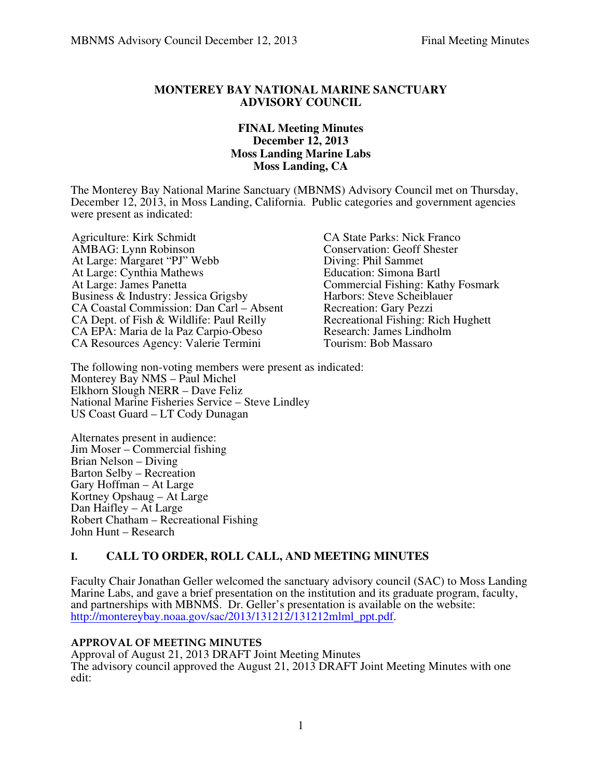### **MONTEREY BAY NATIONAL MARINE SANCTUARY ADVISORY COUNCIL**

### **FINAL Meeting Minutes December 12, 2013 Moss Landing Marine Labs Moss Landing, CA**

The Monterey Bay National Marine Sanctuary (MBNMS) Advisory Council met on Thursday, December 12, 2013, in Moss Landing, California. Public categories and government agencies were present as indicated:

Agriculture: Kirk Schmidt<br>
AMBAG: Lynn Robinson<br>
CONSERVATION: Geoff Shester At Large: Margaret "PJ" Webb At Large: Cynthia Mathews Education: Simona Bartl<br>At Large: James Panetta Commercial Fishing: Kat Business & Industry: Jessica Grigsby<br>
CA Coastal Commission: Dan Carl – Absent<br>
Recreation: Gary Pezzi CA Coastal Commission: Dan Carl – Absent Recreation: Gary Pezzi<br>CA Dept. of Fish & Wildlife: Paul Reilly Recreational Fishing: Rich Hughett CA Dept. of Fish & Wildlife: Paul Reilly Recreational Fishing: Rich CA EPA: Maria de la Paz Carpio-Obeso Research: James Lindholm CA EPA: Maria de la Paz Carpio-Obeso<br>
CA Resources Agency: Valerie Termini Tourism: Bob Massaro CA Resources Agency: Valerie Termini

Conservation: Geoff Shester<br>Diving: Phil Sammet Commercial Fishing: Kathy Fosmark

The following non-voting members were present as indicated: Monterey Bay NMS – Paul Michel Elkhorn Slough NERR – Dave Feliz National Marine Fisheries Service – Steve Lindley US Coast Guard – LT Cody Dunagan

Alternates present in audience: Jim Moser – Commercial fishing Brian Nelson – Diving Barton Selby – Recreation Gary Hoffman – At Large Kortney Opshaug – At Large Dan Haifley – At Large Robert Chatham – Recreational Fishing John Hunt – Research

# **I. CALL TO ORDER, ROLL CALL, AND MEETING MINUTES**

Faculty Chair Jonathan Geller welcomed the sanctuary advisory council (SAC) to Moss Landing Marine Labs, and gave a brief presentation on the institution and its graduate program, faculty, and partnerships with MBNMS. Dr. Geller's presentation is available on the website: http://montereybay.noaa.gov/sac/2013/131212/131212mlml\_ppt.pdf.

### **APPROVAL OF MEETING MINUTES**

Approval of August 21, 2013 DRAFT Joint Meeting Minutes The advisory council approved the August 21, 2013 DRAFT Joint Meeting Minutes with one edit: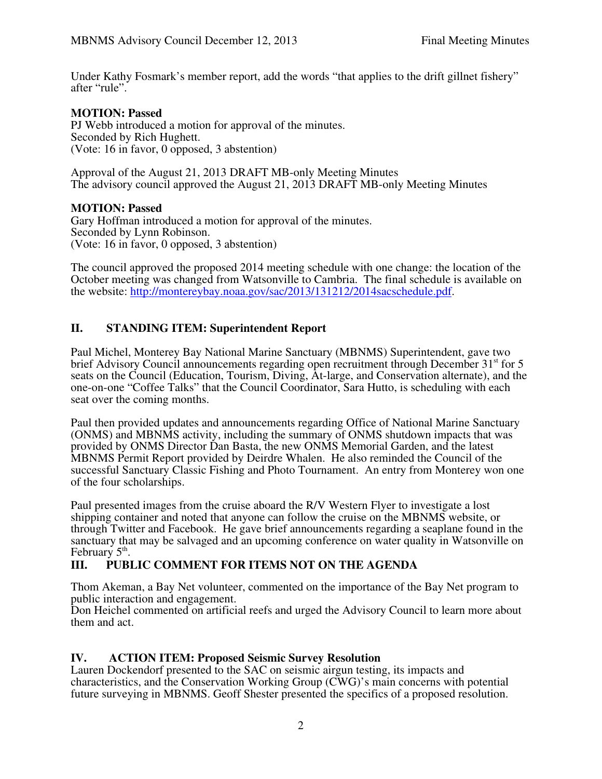Under Kathy Fosmark's member report, add the words "that applies to the drift gillnet fishery" after "rule".

### **MOTION: Passed**

PJ Webb introduced a motion for approval of the minutes. Seconded by Rich Hughett. (Vote: 16 in favor, 0 opposed, 3 abstention)

Approval of the August 21, 2013 DRAFT MB-only Meeting Minutes The advisory council approved the August 21, 2013 DRAFT MB-only Meeting Minutes

### **MOTION: Passed**

Gary Hoffman introduced a motion for approval of the minutes. Seconded by Lynn Robinson. (Vote: 16 in favor, 0 opposed, 3 abstention)

The council approved the proposed 2014 meeting schedule with one change: the location of the October meeting was changed from Watsonville to Cambria. The final schedule is available on the website: http://montereybay.noaa.gov/sac/2013/131212/2014sacschedule.pdf.

# **II. STANDING ITEM: Superintendent Report**

Paul Michel, Monterey Bay National Marine Sanctuary (MBNMS) Superintendent, gave two brief Advisory Council announcements regarding open recruitment through December  $31<sup>st</sup>$  for 5 seats on the Council (Education, Tourism, Diving, At-large, and Conservation alternate), and the one-on-one "Coffee Talks" that the Council Coordinator, Sara Hutto, is scheduling with each seat over the coming months.

Paul then provided updates and announcements regarding Office of National Marine Sanctuary (ONMS) and MBNMS activity, including the summary of ONMS shutdown impacts that was provided by ONMS Director Dan Basta, the new ONMS Memorial Garden, and the latest MBNMS Permit Report provided by Deirdre Whalen. He also reminded the Council of the successful Sanctuary Classic Fishing and Photo Tournament. An entry from Monterey won one of the four scholarships.

Paul presented images from the cruise aboard the R/V Western Flyer to investigate a lost shipping container and noted that anyone can follow the cruise on the MBNMS website, or through Twitter and Facebook. He gave brief announcements regarding a seaplane found in the sanctuary that may be salvaged and an upcoming conference on water quality in Watsonville on February  $5<sup>th</sup>$ .

# **III. PUBLIC COMMENT FOR ITEMS NOT ON THE AGENDA**

Thom Akeman, a Bay Net volunteer, commented on the importance of the Bay Net program to public interaction and engagement.

Don Heichel commented on artificial reefs and urged the Advisory Council to learn more about them and act.

# **IV. ACTION ITEM: Proposed Seismic Survey Resolution**

Lauren Dockendorf presented to the SAC on seismic airgun testing, its impacts and characteristics, and the Conservation Working Group (CWG)'s main concerns with potential future surveying in MBNMS. Geoff Shester presented the specifics of a proposed resolution.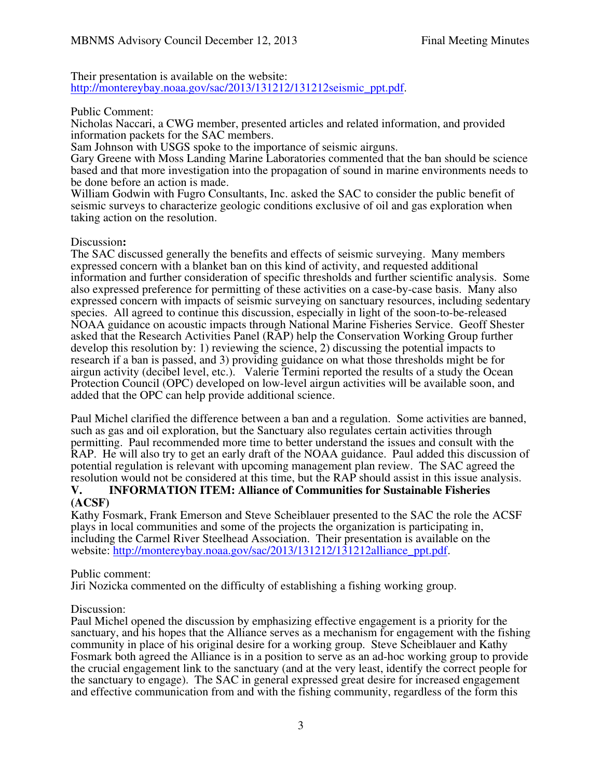Their presentation is available on the website: http://montereybay.noaa.gov/sac/2013/131212/131212seismic\_ppt.pdf.

### Public Comment:

Nicholas Naccari, a CWG member, presented articles and related information, and provided information packets for the SAC members.

Sam Johnson with USGS spoke to the importance of seismic airguns.

Gary Greene with Moss Landing Marine Laboratories commented that the ban should be science based and that more investigation into the propagation of sound in marine environments needs to be done before an action is made.

William Godwin with Fugro Consultants, Inc. asked the SAC to consider the public benefit of seismic surveys to characterize geologic conditions exclusive of oil and gas exploration when taking action on the resolution.

### Discussion**:**

The SAC discussed generally the benefits and effects of seismic surveying. Many members expressed concern with a blanket ban on this kind of activity, and requested additional information and further consideration of specific thresholds and further scientific analysis. Some also expressed preference for permitting of these activities on a case-by-case basis. Many also expressed concern with impacts of seismic surveying on sanctuary resources, including sedentary species. All agreed to continue this discussion, especially in light of the soon-to-be-released NOAA guidance on acoustic impacts through National Marine Fisheries Service. Geoff Shester asked that the Research Activities Panel (RAP) help the Conservation Working Group further develop this resolution by: 1) reviewing the science, 2) discussing the potential impacts to research if a ban is passed, and 3) providing guidance on what those thresholds might be for airgun activity (decibel level, etc.). Valerie Termini reported the results of a study the Ocean Protection Council (OPC) developed on low-level airgun activities will be available soon, and added that the OPC can help provide additional science.

Paul Michel clarified the difference between a ban and a regulation. Some activities are banned, such as gas and oil exploration, but the Sanctuary also regulates certain activities through permitting. Paul recommended more time to better understand the issues and consult with the RAP. He will also try to get an early draft of the NOAA guidance. Paul added this discussion of potential regulation is relevant with upcoming management plan review. The SAC agreed the resolution would not be considered at this time, but the RAP should assist in this issue analysis.

#### **V. INFORMATION ITEM: Alliance of Communities for Sustainable Fisheries (ACSF)**

Kathy Fosmark, Frank Emerson and Steve Scheiblauer presented to the SAC the role the ACSF plays in local communities and some of the projects the organization is participating in, including the Carmel River Steelhead Association. Their presentation is available on the website: http://montereybay.noaa.gov/sac/2013/131212/131212alliance\_ppt.pdf.

### Public comment:

Jiri Nozicka commented on the difficulty of establishing a fishing working group.

#### Discussion:

Paul Michel opened the discussion by emphasizing effective engagement is a priority for the sanctuary, and his hopes that the Alliance serves as a mechanism for engagement with the fishing community in place of his original desire for a working group. Steve Scheiblauer and Kathy Fosmark both agreed the Alliance is in a position to serve as an ad-hoc working group to provide the crucial engagement link to the sanctuary (and at the very least, identify the correct people for the sanctuary to engage). The SAC in general expressed great desire for increased engagement and effective communication from and with the fishing community, regardless of the form this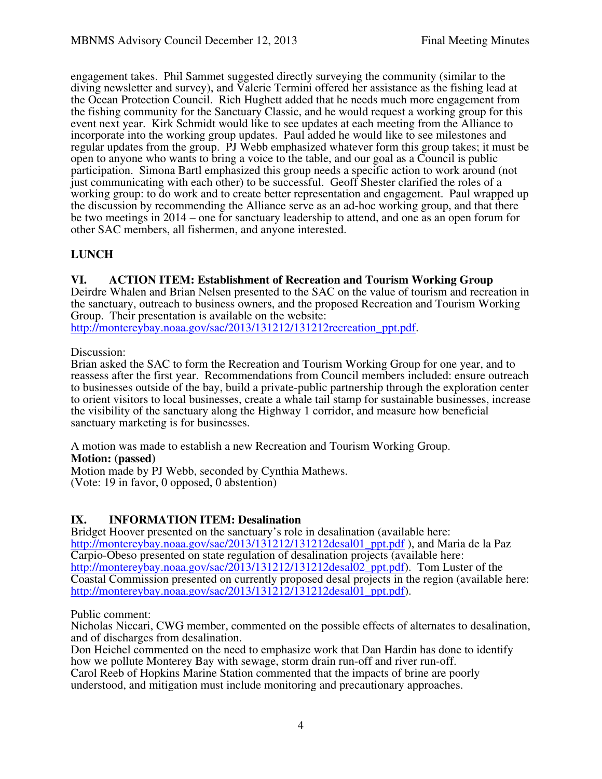engagement takes. Phil Sammet suggested directly surveying the community (similar to the diving newsletter and survey), and Valerie Termini offered her assistance as the fishing lead at the Ocean Protection Council. Rich Hughett added that he needs much more engagement from the fishing community for the Sanctuary Classic, and he would request a working group for this event next year. Kirk Schmidt would like to see updates at each meeting from the Alliance to incorporate into the working group updates. Paul added he would like to see milestones and regular updates from the group. PJ Webb emphasized whatever form this group takes; it must be open to anyone who wants to bring a voice to the table, and our goal as a Council is public participation. Simona Bartl emphasized this group needs a specific action to work around (not just communicating with each other) to be successful. Geoff Shester clarified the roles of a working group: to do work and to create better representation and engagement. Paul wrapped up the discussion by recommending the Alliance serve as an ad-hoc working group, and that there be two meetings in 2014 – one for sanctuary leadership to attend, and one as an open forum for other SAC members, all fishermen, and anyone interested.

# **LUNCH**

### **VI. ACTION ITEM: Establishment of Recreation and Tourism Working Group**

Deirdre Whalen and Brian Nelsen presented to the SAC on the value of tourism and recreation in the sanctuary, outreach to business owners, and the proposed Recreation and Tourism Working Group. Their presentation is available on the website:

http://montereybay.noaa.gov/sac/2013/131212/131212recreation\_ppt.pdf.

### Discussion:

Brian asked the SAC to form the Recreation and Tourism Working Group for one year, and to reassess after the first year. Recommendations from Council members included: ensure outreach to businesses outside of the bay, build a private-public partnership through the exploration center to orient visitors to local businesses, create a whale tail stamp for sustainable businesses, increase the visibility of the sanctuary along the Highway 1 corridor, and measure how beneficial sanctuary marketing is for businesses.

A motion was made to establish a new Recreation and Tourism Working Group.

### **Motion: (passed)**

Motion made by PJ Webb, seconded by Cynthia Mathews. (Vote: 19 in favor, 0 opposed, 0 abstention)

# **IX. INFORMATION ITEM: Desalination**

Bridget Hoover presented on the sanctuary's role in desalination (available here: http://montereybay.noaa.gov/sac/2013/131212/131212desal01 ppt.pdf ), and Maria de la Paz Carpio-Obeso presented on state regulation of desalination projects (available here: http://montereybay.noaa.gov/sac/2013/131212/131212desal02\_ppt.pdf). Tom Luster of the Coastal Commission presented on currently proposed desal projects in the region (available here: http://montereybay.noaa.gov/sac/2013/131212/131212desal01\_ppt.pdf).

Public comment:

Nicholas Niccari, CWG member, commented on the possible effects of alternates to desalination, and of discharges from desalination.

Don Heichel commented on the need to emphasize work that Dan Hardin has done to identify how we pollute Monterey Bay with sewage, storm drain run-off and river run-off.

Carol Reeb of Hopkins Marine Station commented that the impacts of brine are poorly understood, and mitigation must include monitoring and precautionary approaches.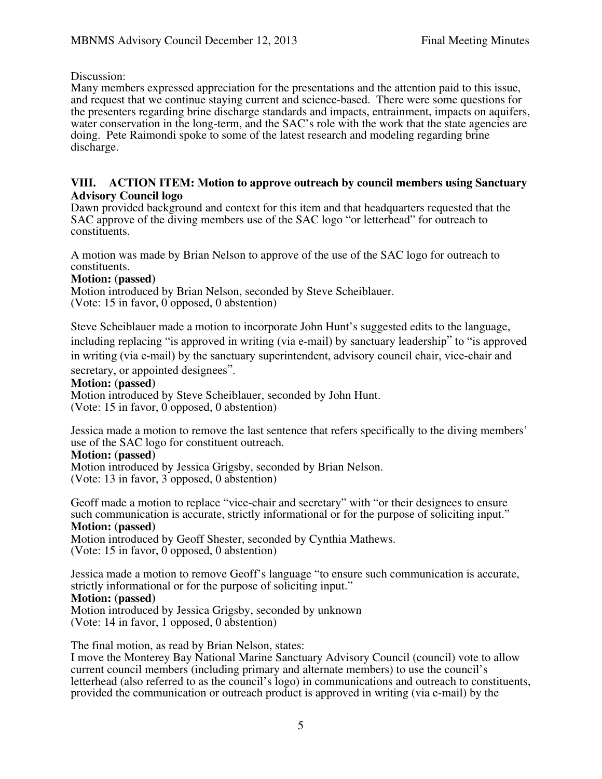Discussion:

Many members expressed appreciation for the presentations and the attention paid to this issue, and request that we continue staying current and science-based. There were some questions for the presenters regarding brine discharge standards and impacts, entrainment, impacts on aquifers, water conservation in the long-term, and the SAC's role with the work that the state agencies are doing. Pete Raimondi spoke to some of the latest research and modeling regarding brine discharge.

### **VIII. ACTION ITEM: Motion to approve outreach by council members using Sanctuary Advisory Council logo**

Dawn provided background and context for this item and that headquarters requested that the SAC approve of the diving members use of the SAC logo "or letterhead" for outreach to constituents.

A motion was made by Brian Nelson to approve of the use of the SAC logo for outreach to constituents.

### **Motion: (passed)**

Motion introduced by Brian Nelson, seconded by Steve Scheiblauer. (Vote: 15 in favor, 0 opposed, 0 abstention)

Steve Scheiblauer made a motion to incorporate John Hunt's suggested edits to the language, including replacing "is approved in writing (via e-mail) by sanctuary leadership" to "is approved in writing (via e-mail) by the sanctuary superintendent, advisory council chair, vice-chair and

secretary, or appointed designees".

#### **Motion: (passed)**

Motion introduced by Steve Scheiblauer, seconded by John Hunt. (Vote: 15 in favor, 0 opposed, 0 abstention)

Jessica made a motion to remove the last sentence that refers specifically to the diving members' use of the SAC logo for constituent outreach.

#### **Motion: (passed)**

Motion introduced by Jessica Grigsby, seconded by Brian Nelson. (Vote: 13 in favor, 3 opposed, 0 abstention)

Geoff made a motion to replace "vice-chair and secretary" with "or their designees to ensure such communication is accurate, strictly informational or for the purpose of soliciting input." **Motion: (passed)**

Motion introduced by Geoff Shester, seconded by Cynthia Mathews. (Vote: 15 in favor, 0 opposed, 0 abstention)

Jessica made a motion to remove Geoff's language "to ensure such communication is accurate, strictly informational or for the purpose of soliciting input."

### **Motion: (passed)**

Motion introduced by Jessica Grigsby, seconded by unknown (Vote: 14 in favor, 1 opposed, 0 abstention)

The final motion, as read by Brian Nelson, states:

I move the Monterey Bay National Marine Sanctuary Advisory Council (council) vote to allow current council members (including primary and alternate members) to use the council's letterhead (also referred to as the council's logo) in communications and outreach to constituents, provided the communication or outreach product is approved in writing (via e-mail) by the